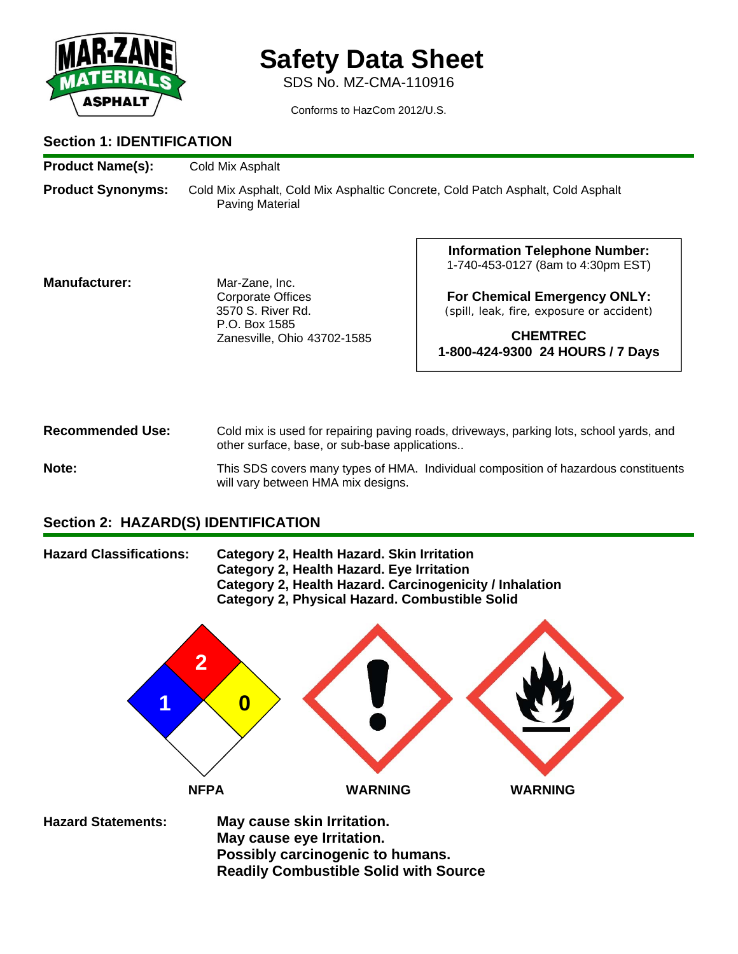

# **Safety Data Sheet**

SDS No. MZ-CMA-110916

Conforms to HazCom 2012/U.S.

# **Section 1: IDENTIFICATION**

**Product Name(s):** Cold Mix Asphalt

**Product Synonyms:** Cold Mix Asphalt, Cold Mix Asphaltic Concrete, Cold Patch Asphalt, Cold Asphalt Paving Material

#### **Manufacturer:** Mar-Zane, Inc.

 Corporate Offices 3570 S. River Rd. P.O. Box 1585 Zanesville, Ohio 43702-1585 **Information Telephone Number:**  1-740-453-0127 (8am to 4:30pm EST)

**For Chemical Emergency ONLY:**  (spill, leak, fire, exposure or accident)

**CHEMTREC 1-800-424-9300 24 HOURS / 7 Days**

# **Recommended Use:** Cold mix is used for repairing paving roads, driveways, parking lots, school yards, and other surface, base, or sub-base applications..

**Note:** This SDS covers many types of HMA. Individual composition of hazardous constituents will vary between HMA mix designs.

# **Section 2: HAZARD(S) IDENTIFICATION**



 **NFPA WARNING WARNING Hazard Statements: May cause skin Irritation. May cause eye Irritation. Possibly carcinogenic to humans. Readily Combustible Solid with Source**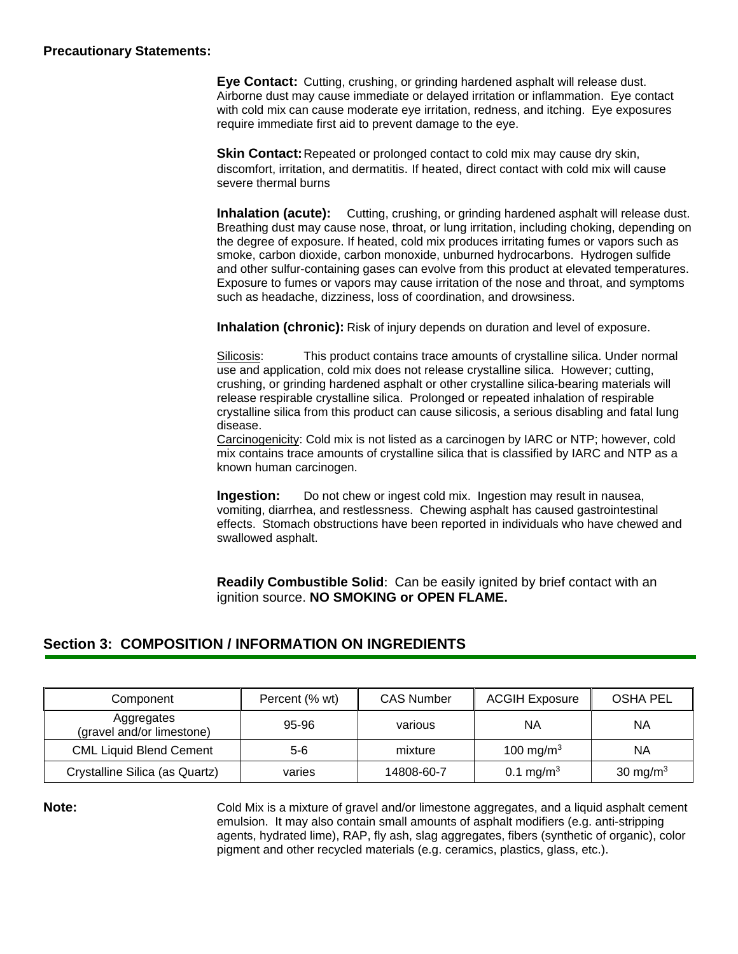#### **Precautionary Statements:**

 **Eye Contact:** Cutting, crushing, or grinding hardened asphalt will release dust. Airborne dust may cause immediate or delayed irritation or inflammation. Eye contact with cold mix can cause moderate eye irritation, redness, and itching. Eye exposures require immediate first aid to prevent damage to the eye.

**Skin Contact:** Repeated or prolonged contact to cold mix may cause dry skin, discomfort, irritation, and dermatitis. If heated, direct contact with cold mix will cause severe thermal burns

**Inhalation (acute):** Cutting, crushing, or grinding hardened asphalt will release dust. Breathing dust may cause nose, throat, or lung irritation, including choking, depending on the degree of exposure. If heated, cold mix produces irritating fumes or vapors such as smoke, carbon dioxide, carbon monoxide, unburned hydrocarbons. Hydrogen sulfide and other sulfur-containing gases can evolve from this product at elevated temperatures. Exposure to fumes or vapors may cause irritation of the nose and throat, and symptoms such as headache, dizziness, loss of coordination, and drowsiness.

 **Inhalation (chronic):** Risk of injury depends on duration and level of exposure.

 Silicosis: This product contains trace amounts of crystalline silica. Under normal use and application, cold mix does not release crystalline silica. However; cutting, crushing, or grinding hardened asphalt or other crystalline silica-bearing materials will release respirable crystalline silica. Prolonged or repeated inhalation of respirable crystalline silica from this product can cause silicosis, a serious disabling and fatal lung disease.

 Carcinogenicity: Cold mix is not listed as a carcinogen by IARC or NTP; however, cold mix contains trace amounts of crystalline silica that is classified by IARC and NTP as a known human carcinogen.

**Ingestion:** Do not chew or ingest cold mix. Ingestion may result in nausea, vomiting, diarrhea, and restlessness. Chewing asphalt has caused gastrointestinal effects. Stomach obstructions have been reported in individuals who have chewed and swallowed asphalt.

 **Readily Combustible Solid**: Can be easily ignited by brief contact with an ignition source. **NO SMOKING or OPEN FLAME.** 

# **Section 3: COMPOSITION / INFORMATION ON INGREDIENTS**

| Component                               | Percent (% wt) | <b>CAS Number</b> | <b>ACGIH Exposure</b> | <b>OSHA PEL</b>      |
|-----------------------------------------|----------------|-------------------|-----------------------|----------------------|
| Aggregates<br>(gravel and/or limestone) | 95-96          | various           | ΝA                    | <b>NA</b>            |
| <b>CML Liquid Blend Cement</b>          | 5-6            | mixture           | 100 mg/m $3$          | ΝA                   |
| Crystalline Silica (as Quartz)          | varies         | 14808-60-7        | 0.1 mg/m <sup>3</sup> | 30 mg/m <sup>3</sup> |

**Note:** Cold Mix is a mixture of gravel and/or limestone aggregates, and a liquid asphalt cement emulsion. It may also contain small amounts of asphalt modifiers (e.g. anti-stripping agents, hydrated lime), RAP, fly ash, slag aggregates, fibers (synthetic of organic), color pigment and other recycled materials (e.g. ceramics, plastics, glass, etc.).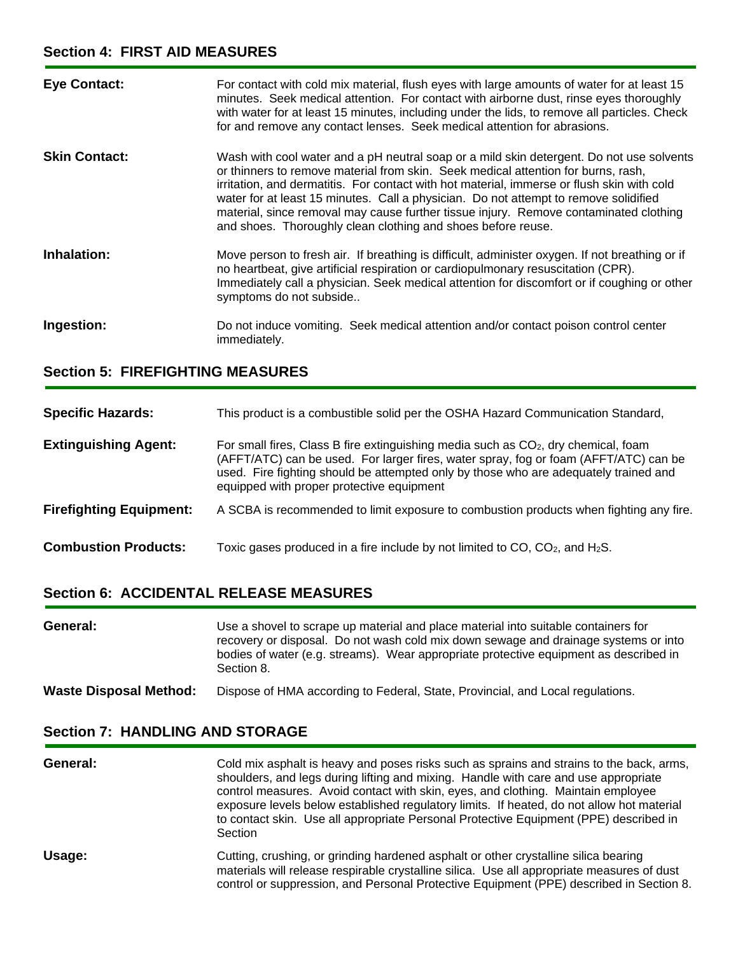| <b>Eye Contact:</b>  | For contact with cold mix material, flush eyes with large amounts of water for at least 15<br>minutes. Seek medical attention. For contact with airborne dust, rinse eyes thoroughly<br>with water for at least 15 minutes, including under the lids, to remove all particles. Check<br>for and remove any contact lenses. Seek medical attention for abrasions.                                                                                                                                                             |
|----------------------|------------------------------------------------------------------------------------------------------------------------------------------------------------------------------------------------------------------------------------------------------------------------------------------------------------------------------------------------------------------------------------------------------------------------------------------------------------------------------------------------------------------------------|
| <b>Skin Contact:</b> | Wash with cool water and a pH neutral soap or a mild skin detergent. Do not use solvents<br>or thinners to remove material from skin. Seek medical attention for burns, rash,<br>irritation, and dermatitis. For contact with hot material, immerse or flush skin with cold<br>water for at least 15 minutes. Call a physician. Do not attempt to remove solidified<br>material, since removal may cause further tissue injury. Remove contaminated clothing<br>and shoes. Thoroughly clean clothing and shoes before reuse. |
| Inhalation:          | Move person to fresh air. If breathing is difficult, administer oxygen. If not breathing or if<br>no heartbeat, give artificial respiration or cardiopulmonary resuscitation (CPR).<br>Immediately call a physician. Seek medical attention for discomfort or if coughing or other<br>symptoms do not subside                                                                                                                                                                                                                |
| Ingestion:           | Do not induce vomiting. Seek medical attention and/or contact poison control center<br>immediately.                                                                                                                                                                                                                                                                                                                                                                                                                          |

### **Section 5: FIREFIGHTING MEASURES**

| <b>Specific Hazards:</b>       | This product is a combustible solid per the OSHA Hazard Communication Standard,                                                                                                                                                                                                                                   |
|--------------------------------|-------------------------------------------------------------------------------------------------------------------------------------------------------------------------------------------------------------------------------------------------------------------------------------------------------------------|
| <b>Extinguishing Agent:</b>    | For small fires, Class B fire extinguishing media such as $CO2$ , dry chemical, foam<br>(AFFT/ATC) can be used. For larger fires, water spray, fog or foam (AFFT/ATC) can be<br>used. Fire fighting should be attempted only by those who are adequately trained and<br>equipped with proper protective equipment |
| <b>Firefighting Equipment:</b> | A SCBA is recommended to limit exposure to combustion products when fighting any fire.                                                                                                                                                                                                                            |
| <b>Combustion Products:</b>    | Toxic gases produced in a fire include by not limited to $CO$ , $CO2$ , and $H2S$ .                                                                                                                                                                                                                               |

# **Section 6: ACCIDENTAL RELEASE MEASURES**

| General:                      | Use a shovel to scrape up material and place material into suitable containers for<br>recovery or disposal. Do not wash cold mix down sewage and drainage systems or into<br>bodies of water (e.g. streams). Wear appropriate protective equipment as described in<br>Section 8. |
|-------------------------------|----------------------------------------------------------------------------------------------------------------------------------------------------------------------------------------------------------------------------------------------------------------------------------|
| <b>Waste Disposal Method:</b> | Dispose of HMA according to Federal, State, Provincial, and Local regulations.                                                                                                                                                                                                   |

# **Section 7: HANDLING AND STORAGE**

| General: | Cold mix asphalt is heavy and poses risks such as sprains and strains to the back, arms,<br>shoulders, and legs during lifting and mixing. Handle with care and use appropriate<br>control measures. Avoid contact with skin, eyes, and clothing. Maintain employee<br>exposure levels below established regulatory limits. If heated, do not allow hot material<br>to contact skin. Use all appropriate Personal Protective Equipment (PPE) described in<br>Section |
|----------|----------------------------------------------------------------------------------------------------------------------------------------------------------------------------------------------------------------------------------------------------------------------------------------------------------------------------------------------------------------------------------------------------------------------------------------------------------------------|
| Usage:   | Cutting, crushing, or grinding hardened asphalt or other crystalline silica bearing<br>materials will release respirable crystalline silica. Use all appropriate measures of dust<br>control or suppression, and Personal Protective Equipment (PPE) described in Section 8.                                                                                                                                                                                         |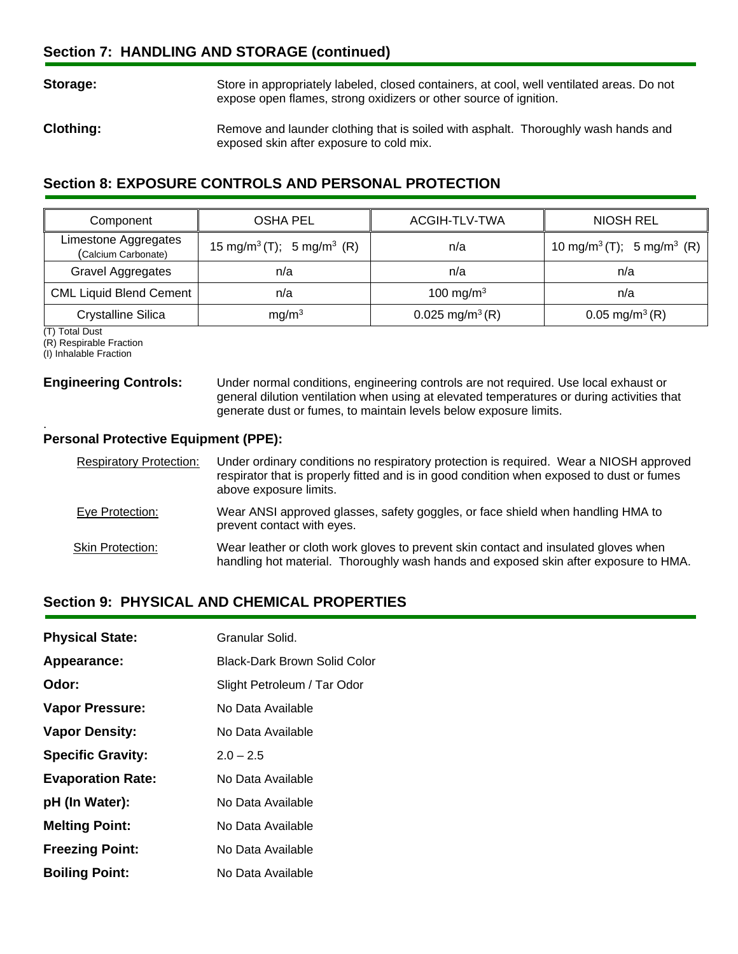# **Section 7: HANDLING AND STORAGE (continued)**

**Storage:** Store in appropriately labeled, closed containers, at cool, well ventilated areas. Do not expose open flames, strong oxidizers or other source of ignition.

**Clothing:** Remove and launder clothing that is soiled with asphalt. Thoroughly wash hands and exposed skin after exposure to cold mix.

# **Section 8: EXPOSURE CONTROLS AND PERSONAL PROTECTION**

| Component                                   | <b>OSHA PEL</b>                                   | ACGIH-TLV-TWA               | <b>NIOSH REL</b>                                  |
|---------------------------------------------|---------------------------------------------------|-----------------------------|---------------------------------------------------|
| Limestone Aggregates<br>(Calcium Carbonate) | 15 mg/m <sup>3</sup> (T); 5 mg/m <sup>3</sup> (R) | n/a                         | 10 mg/m <sup>3</sup> (T); 5 mg/m <sup>3</sup> (R) |
| Gravel Aggregates                           | n/a                                               | n/a                         | n/a                                               |
| <b>CML Liquid Blend Cement</b>              | n/a                                               | 100 mg/m $3$                | n/a                                               |
| <b>Crystalline Silica</b>                   | mg/m <sup>3</sup>                                 | 0.025 mg/m <sup>3</sup> (R) | $0.05 \text{ mg/m}^3$ (R)                         |

(T) Total Dust

.

(R) Respirable Fraction

(I) Inhalable Fraction

**Engineering Controls:** Under normal conditions, engineering controls are not required. Use local exhaust or general dilution ventilation when using at elevated temperatures or during activities that generate dust or fumes, to maintain levels below exposure limits.

#### **Personal Protective Equipment (PPE):**

| <b>Respiratory Protection:</b> | Under ordinary conditions no respiratory protection is required. Wear a NIOSH approved<br>respirator that is properly fitted and is in good condition when exposed to dust or fumes<br>above exposure limits. |
|--------------------------------|---------------------------------------------------------------------------------------------------------------------------------------------------------------------------------------------------------------|
| Eye Protection:                | Wear ANSI approved glasses, safety goggles, or face shield when handling HMA to<br>prevent contact with eyes.                                                                                                 |
| <b>Skin Protection:</b>        | Wear leather or cloth work gloves to prevent skin contact and insulated gloves when<br>handling hot material. Thoroughly wash hands and exposed skin after exposure to HMA.                                   |

# **Section 9: PHYSICAL AND CHEMICAL PROPERTIES**

| <b>Physical State:</b>   | Granular Solid.              |
|--------------------------|------------------------------|
| Appearance:              | Black-Dark Brown Solid Color |
| Odor:                    | Slight Petroleum / Tar Odor  |
| <b>Vapor Pressure:</b>   | No Data Available            |
| <b>Vapor Density:</b>    | No Data Available            |
| <b>Specific Gravity:</b> | $2.0 - 2.5$                  |
| <b>Evaporation Rate:</b> | No Data Available            |
| pH (In Water):           | No Data Available            |
| <b>Melting Point:</b>    | No Data Available            |
| <b>Freezing Point:</b>   | No Data Available            |
| <b>Boiling Point:</b>    | No Data Available            |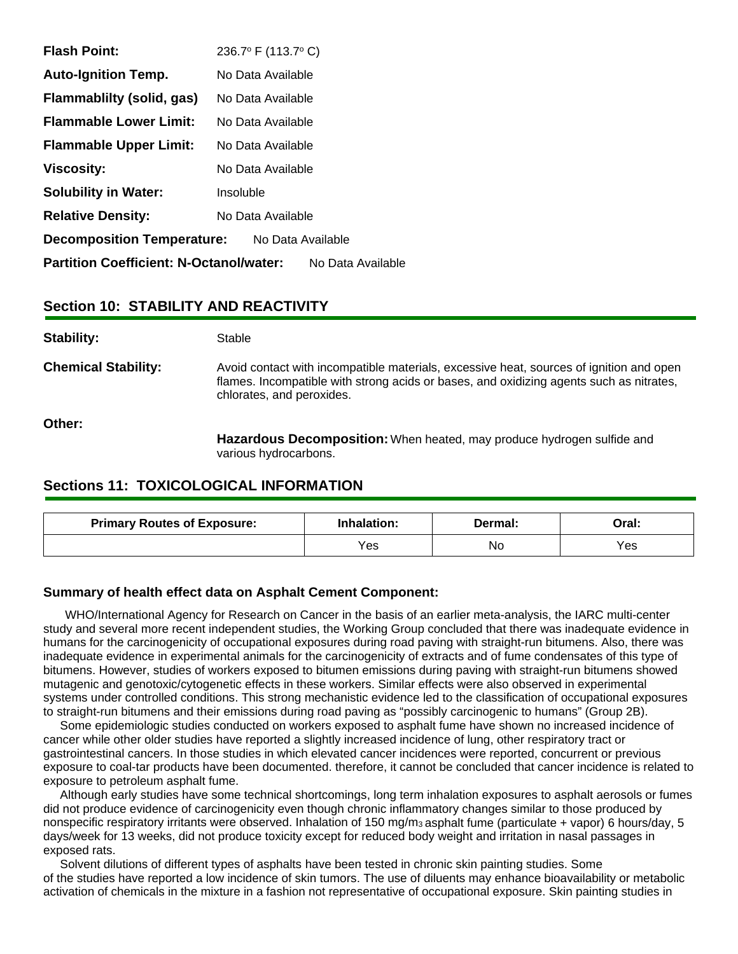| <b>Flash Point:</b>                                                 | 236.7° F (113.7° C) |  |
|---------------------------------------------------------------------|---------------------|--|
| <b>Auto-Ignition Temp.</b>                                          | No Data Available   |  |
| Flammablilty (solid, gas)                                           | No Data Available   |  |
| <b>Flammable Lower Limit:</b>                                       | No Data Available   |  |
| <b>Flammable Upper Limit:</b>                                       | No Data Available   |  |
| <b>Viscosity:</b>                                                   | No Data Available   |  |
| <b>Solubility in Water:</b>                                         | Insoluble           |  |
| <b>Relative Density:</b>                                            | No Data Available   |  |
| <b>Decomposition Temperature:</b><br>No Data Available              |                     |  |
| <b>Partition Coefficient: N-Octanol/water:</b><br>No Data Available |                     |  |

#### **Section 10: STABILITY AND REACTIVITY**

| Stability:                 | Stable                                                                                                                                                                                                          |
|----------------------------|-----------------------------------------------------------------------------------------------------------------------------------------------------------------------------------------------------------------|
| <b>Chemical Stability:</b> | Avoid contact with incompatible materials, excessive heat, sources of ignition and open<br>flames. Incompatible with strong acids or bases, and oxidizing agents such as nitrates,<br>chlorates, and peroxides. |
| Other:                     | <b>Hazardous Decomposition:</b> When heated, may produce hydrogen sulfide and<br>various hydrocarbons.                                                                                                          |

### **Sections 11: TOXICOLOGICAL INFORMATION**

| <b>Primary Routes of Exposure:</b> | Inhalation: | Dermal: | Oral: |
|------------------------------------|-------------|---------|-------|
|                                    | Yes         | No      | Yes   |

#### **Summary of health effect data on Asphalt Cement Component:**

 WHO/International Agency for Research on Cancer in the basis of an earlier meta-analysis, the IARC multi-center study and several more recent independent studies, the Working Group concluded that there was inadequate evidence in humans for the carcinogenicity of occupational exposures during road paving with straight-run bitumens. Also, there was inadequate evidence in experimental animals for the carcinogenicity of extracts and of fume condensates of this type of bitumens. However, studies of workers exposed to bitumen emissions during paving with straight-run bitumens showed mutagenic and genotoxic/cytogenetic effects in these workers. Similar effects were also observed in experimental systems under controlled conditions. This strong mechanistic evidence led to the classification of occupational exposures to straight-run bitumens and their emissions during road paving as "possibly carcinogenic to humans" (Group 2B).

 Some epidemiologic studies conducted on workers exposed to asphalt fume have shown no increased incidence of cancer while other older studies have reported a slightly increased incidence of lung, other respiratory tract or gastrointestinal cancers. In those studies in which elevated cancer incidences were reported, concurrent or previous exposure to coal-tar products have been documented. therefore, it cannot be concluded that cancer incidence is related to exposure to petroleum asphalt fume.

 Although early studies have some technical shortcomings, long term inhalation exposures to asphalt aerosols or fumes did not produce evidence of carcinogenicity even though chronic inflammatory changes similar to those produced by nonspecific respiratory irritants were observed. Inhalation of 150 mg/m3 asphalt fume (particulate + vapor) 6 hours/day, 5 days/week for 13 weeks, did not produce toxicity except for reduced body weight and irritation in nasal passages in exposed rats.

 Solvent dilutions of different types of asphalts have been tested in chronic skin painting studies. Some of the studies have reported a low incidence of skin tumors. The use of diluents may enhance bioavailability or metabolic activation of chemicals in the mixture in a fashion not representative of occupational exposure. Skin painting studies in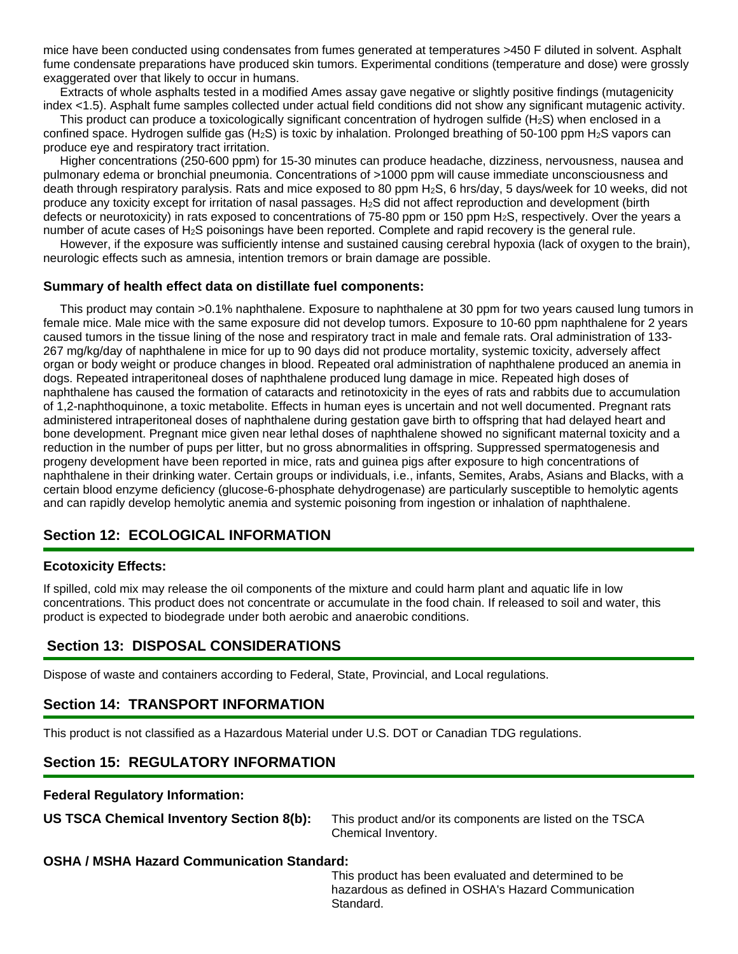mice have been conducted using condensates from fumes generated at temperatures >450 F diluted in solvent. Asphalt fume condensate preparations have produced skin tumors. Experimental conditions (temperature and dose) were grossly exaggerated over that likely to occur in humans.

 Extracts of whole asphalts tested in a modified Ames assay gave negative or slightly positive findings (mutagenicity index <1.5). Asphalt fume samples collected under actual field conditions did not show any significant mutagenic activity.

This product can produce a toxicologically significant concentration of hydrogen sulfide (H<sub>2</sub>S) when enclosed in a confined space. Hydrogen sulfide gas (H<sub>2</sub>S) is toxic by inhalation. Prolonged breathing of 50-100 ppm H<sub>2</sub>S vapors can produce eye and respiratory tract irritation.

 Higher concentrations (250-600 ppm) for 15-30 minutes can produce headache, dizziness, nervousness, nausea and pulmonary edema or bronchial pneumonia. Concentrations of >1000 ppm will cause immediate unconsciousness and death through respiratory paralysis. Rats and mice exposed to 80 ppm  $H_2S$ , 6 hrs/day, 5 days/week for 10 weeks, did not produce any toxicity except for irritation of nasal passages. H2S did not affect reproduction and development (birth defects or neurotoxicity) in rats exposed to concentrations of 75-80 ppm or 150 ppm H2S, respectively. Over the years a number of acute cases of H2S poisonings have been reported. Complete and rapid recovery is the general rule.

 However, if the exposure was sufficiently intense and sustained causing cerebral hypoxia (lack of oxygen to the brain), neurologic effects such as amnesia, intention tremors or brain damage are possible.

#### **Summary of health effect data on distillate fuel components:**

 This product may contain >0.1% naphthalene. Exposure to naphthalene at 30 ppm for two years caused lung tumors in female mice. Male mice with the same exposure did not develop tumors. Exposure to 10-60 ppm naphthalene for 2 years caused tumors in the tissue lining of the nose and respiratory tract in male and female rats. Oral administration of 133- 267 mg/kg/day of naphthalene in mice for up to 90 days did not produce mortality, systemic toxicity, adversely affect organ or body weight or produce changes in blood. Repeated oral administration of naphthalene produced an anemia in dogs. Repeated intraperitoneal doses of naphthalene produced lung damage in mice. Repeated high doses of naphthalene has caused the formation of cataracts and retinotoxicity in the eyes of rats and rabbits due to accumulation of 1,2-naphthoquinone, a toxic metabolite. Effects in human eyes is uncertain and not well documented. Pregnant rats administered intraperitoneal doses of naphthalene during gestation gave birth to offspring that had delayed heart and bone development. Pregnant mice given near lethal doses of naphthalene showed no significant maternal toxicity and a reduction in the number of pups per litter, but no gross abnormalities in offspring. Suppressed spermatogenesis and progeny development have been reported in mice, rats and guinea pigs after exposure to high concentrations of naphthalene in their drinking water. Certain groups or individuals, i.e., infants, Semites, Arabs, Asians and Blacks, with a certain blood enzyme deficiency (glucose-6-phosphate dehydrogenase) are particularly susceptible to hemolytic agents and can rapidly develop hemolytic anemia and systemic poisoning from ingestion or inhalation of naphthalene.

# **Section 12: ECOLOGICAL INFORMATION**

#### **Ecotoxicity Effects:**

If spilled, cold mix may release the oil components of the mixture and could harm plant and aquatic life in low concentrations. This product does not concentrate or accumulate in the food chain. If released to soil and water, this product is expected to biodegrade under both aerobic and anaerobic conditions.

### **Section 13: DISPOSAL CONSIDERATIONS**

Dispose of waste and containers according to Federal, State, Provincial, and Local regulations.

### **Section 14: TRANSPORT INFORMATION**

This product is not classified as a Hazardous Material under U.S. DOT or Canadian TDG regulations.

### **Section 15: REGULATORY INFORMATION**

**Federal Regulatory Information:** 

**US TSCA Chemical Inventory Section 8(b):** This product and/or its components are listed on the TSCA Chemical Inventory.

#### **OSHA / MSHA Hazard Communication Standard:**

 This product has been evaluated and determined to be hazardous as defined in OSHA's Hazard Communication Standard.